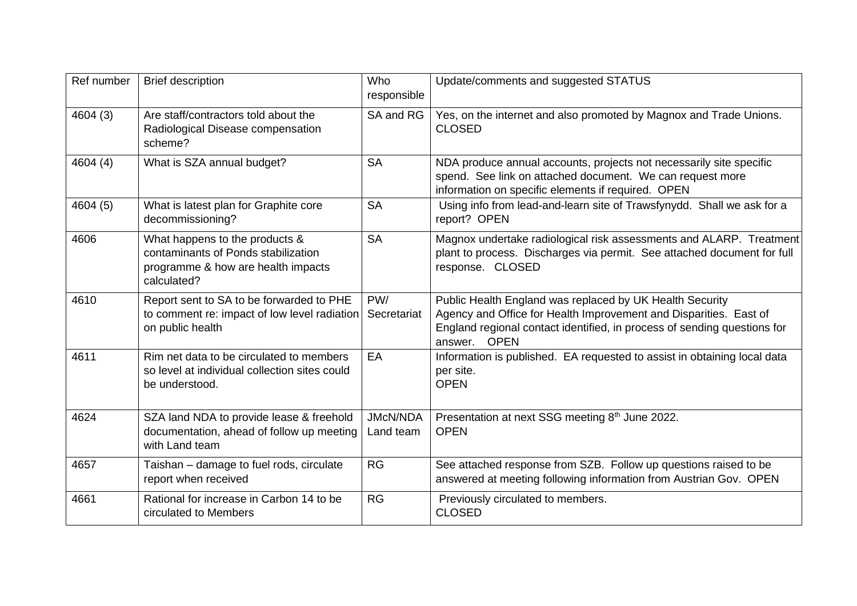| Ref number | <b>Brief description</b>                                                                                                   | Who<br>responsible           | Update/comments and suggested STATUS                                                                                                                                                                                                |
|------------|----------------------------------------------------------------------------------------------------------------------------|------------------------------|-------------------------------------------------------------------------------------------------------------------------------------------------------------------------------------------------------------------------------------|
| 4604 (3)   | Are staff/contractors told about the<br>Radiological Disease compensation<br>scheme?                                       | SA and RG                    | Yes, on the internet and also promoted by Magnox and Trade Unions.<br><b>CLOSED</b>                                                                                                                                                 |
| 4604 (4)   | What is SZA annual budget?                                                                                                 | <b>SA</b>                    | NDA produce annual accounts, projects not necessarily site specific<br>spend. See link on attached document. We can request more<br>information on specific elements if required. OPEN                                              |
| 4604 (5)   | What is latest plan for Graphite core<br>decommissioning?                                                                  | <b>SA</b>                    | Using info from lead-and-learn site of Trawsfynydd. Shall we ask for a<br>report? OPEN                                                                                                                                              |
| 4606       | What happens to the products &<br>contaminants of Ponds stabilization<br>programme & how are health impacts<br>calculated? | <b>SA</b>                    | Magnox undertake radiological risk assessments and ALARP. Treatment<br>plant to process. Discharges via permit. See attached document for full<br>response. CLOSED                                                                  |
| 4610       | Report sent to SA to be forwarded to PHE<br>to comment re: impact of low level radiation<br>on public health               | PW/<br>Secretariat           | Public Health England was replaced by UK Health Security<br>Agency and Office for Health Improvement and Disparities. East of<br>England regional contact identified, in process of sending questions for<br><b>OPEN</b><br>answer. |
| 4611       | Rim net data to be circulated to members<br>so level at individual collection sites could<br>be understood.                | EA                           | Information is published. EA requested to assist in obtaining local data<br>per site.<br><b>OPEN</b>                                                                                                                                |
| 4624       | SZA land NDA to provide lease & freehold<br>documentation, ahead of follow up meeting<br>with Land team                    | <b>JMcN/NDA</b><br>Land team | Presentation at next SSG meeting 8th June 2022.<br><b>OPEN</b>                                                                                                                                                                      |
| 4657       | Taishan - damage to fuel rods, circulate<br>report when received                                                           | RG                           | See attached response from SZB. Follow up questions raised to be<br>answered at meeting following information from Austrian Gov. OPEN                                                                                               |
| 4661       | Rational for increase in Carbon 14 to be<br>circulated to Members                                                          | <b>RG</b>                    | Previously circulated to members.<br><b>CLOSED</b>                                                                                                                                                                                  |